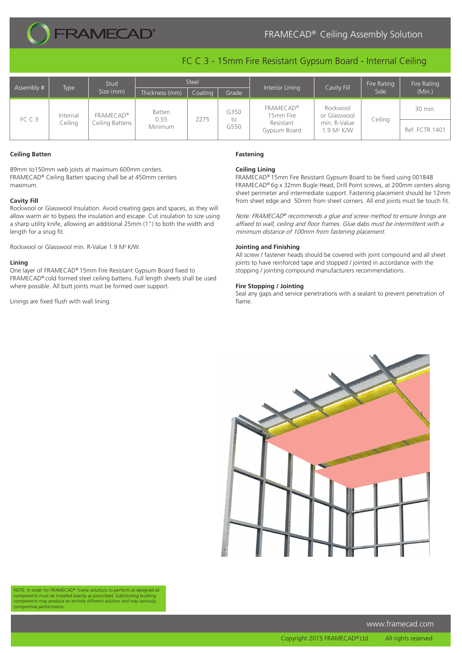

# FRAMECAD® Ceiling Assembly Solution

## FC C 3 - 15mm Fire Resistant Gypsum Board - Internal Ceiling

| Assembly # | <b>Type</b>         | Stud<br>Size (mm)                   | Steel                            |         |                    |                                                            |                                                                    | Fire Rating | Fire Rating    |
|------------|---------------------|-------------------------------------|----------------------------------|---------|--------------------|------------------------------------------------------------|--------------------------------------------------------------------|-------------|----------------|
|            |                     |                                     | Thickness (mm)                   | Coating | Grade              | Interior Lining                                            | Cavity Fill                                                        | Side        | (Min.)         |
| FCC3       | Internal<br>Ceiling | <b>FRAMECAD®</b><br>Ceiling Battens | Batten<br>0.55<br><b>Minimum</b> | Z275    | G350<br>to<br>G550 | <b>FRAMECAD®</b><br>15mm Fire<br>Resistant<br>Gypsum Board | Rockwool<br>or Glasswool<br>min. R-Value<br>1.9 M <sup>2</sup> K/W | Ceiling     | 30 min.        |
|            |                     |                                     |                                  |         |                    |                                                            |                                                                    |             | Ref. FCTR.1401 |

#### **Ceiling Batten**

89mm to150mm web joists at maximum 600mm centers. FRAMECAD® Ceiling Batten spacing shall be at 450mm centers maximum.

### **Cavity Fill**

Rockwool or Glasswool Insulation. Avoid creating gaps and spaces, as they will allow warm air to bypass the insulation and escape. Cut insulation to size using a sharp utility knife, allowing an additional 25mm (1") to both the width and length for a snug fit.

Rockwool or Glasswool min. R-Value 1.9 M2 K/W.

#### **Lining**

One layer of FRAMECAD® 15mm Fire Resistant Gypsum Board fixed to FRAMECAD® cold formed steel ceiling battens. Full length sheets shall be used where possible. All butt joints must be formed over support.

Linings are fixed flush with wall lining.

#### **Fastening**

#### **Ceiling Lining**

FRAMECAD® 15mm Fire Resistant Gypsum Board to be fixed using 001848 FRAMECAD® 6g x 32mm Bugle Head, Drill Point screws, at 200mm centers along sheet perimeter and intermediate support. Fastening placement should be 12mm from sheet edge and 50mm from sheet corners. All end joints must be touch fit.

Note: FRAMECAD® recommends a glue and screw method to ensure linings are affixed to wall, ceiling and floor frames. Glue dabs must be intermittent with a minimum distance of 100mm from fastening placement.

#### **Jointing and Finishing**

All screw / fastener heads should be covered with joint compound and all sheet joints to have reinforced tape and stopped / jointed in accordance with the stopping / jointing compound manufacturers recommendations.

#### **Fire Stopping / Jointing**

Seal any gaps and service penetrations with a sealant to prevent penetration of flame.



NOTE: In order for FRAMECAD® frame solutions to perform as designed all components must be installed exactly as prescribed. Substituting building components may produce an entirely different solution and may seriously compromise performance.

www.framecad.com